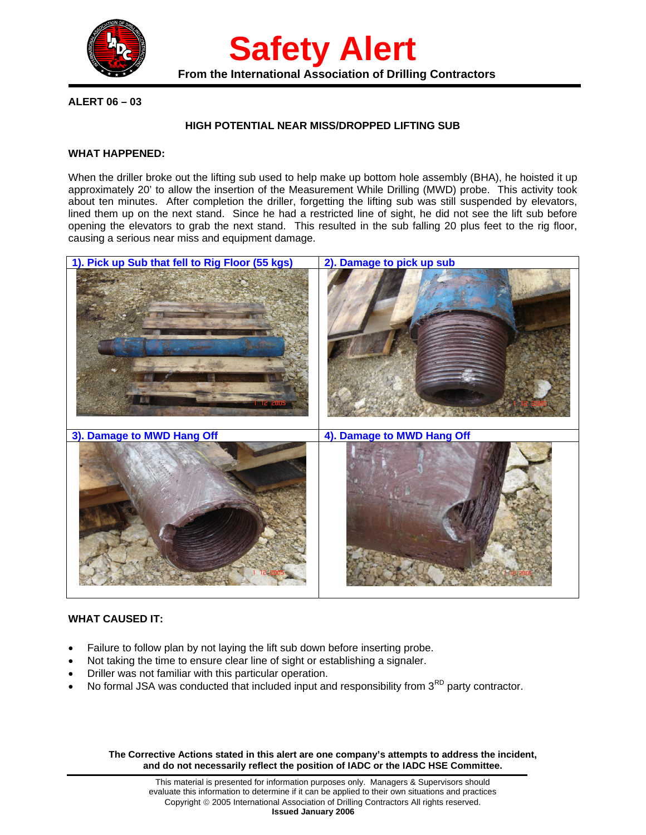

**Safety Alert** From the International Association of Drilling Contractors

**ALERT 06 – 03** 

## **HIGH POTENTIAL NEAR MISS/DROPPED LIFTING SUB**

### **WHAT HAPPENED:**

When the driller broke out the lifting sub used to help make up bottom hole assembly (BHA), he hoisted it up approximately 20' to allow the insertion of the Measurement While Drilling (MWD) probe. This activity took about ten minutes. After completion the driller, forgetting the lifting sub was still suspended by elevators, lined them up on the next stand. Since he had a restricted line of sight, he did not see the lift sub before opening the elevators to grab the next stand. This resulted in the sub falling 20 plus feet to the rig floor, causing a serious near miss and equipment damage.



## **WHAT CAUSED IT:**

- Failure to follow plan by not laying the lift sub down before inserting probe.
- Not taking the time to ensure clear line of sight or establishing a signaler.
- Driller was not familiar with this particular operation.
- No formal JSA was conducted that included input and responsibility from  $3<sup>RD</sup>$  party contractor.

**The Corrective Actions stated in this alert are one company's attempts to address the incident, and do not necessarily reflect the position of IADC or the IADC HSE Committee.**